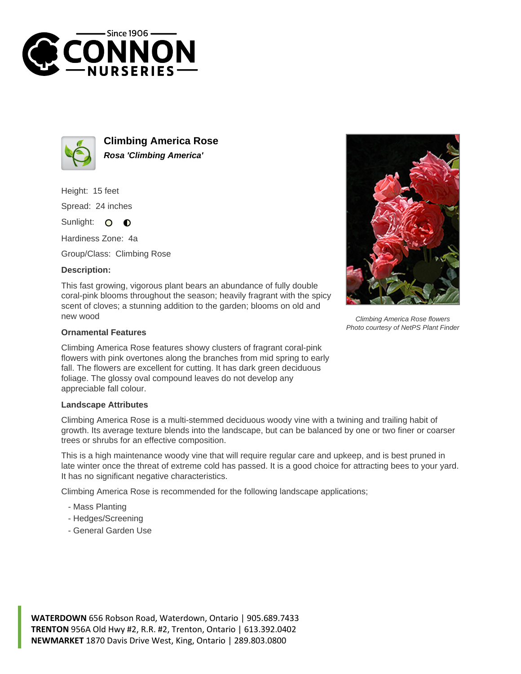



**Climbing America Rose Rosa 'Climbing America'**

Height: 15 feet

Spread: 24 inches

Sunlight: O  $\bullet$ 

Hardiness Zone: 4a

Group/Class: Climbing Rose

## **Description:**

This fast growing, vigorous plant bears an abundance of fully double coral-pink blooms throughout the season; heavily fragrant with the spicy scent of cloves; a stunning addition to the garden; blooms on old and new wood

## **Ornamental Features**

Climbing America Rose features showy clusters of fragrant coral-pink flowers with pink overtones along the branches from mid spring to early fall. The flowers are excellent for cutting. It has dark green deciduous foliage. The glossy oval compound leaves do not develop any appreciable fall colour.

## **Landscape Attributes**

Climbing America Rose is a multi-stemmed deciduous woody vine with a twining and trailing habit of growth. Its average texture blends into the landscape, but can be balanced by one or two finer or coarser trees or shrubs for an effective composition.

This is a high maintenance woody vine that will require regular care and upkeep, and is best pruned in late winter once the threat of extreme cold has passed. It is a good choice for attracting bees to your yard. It has no significant negative characteristics.

Climbing America Rose is recommended for the following landscape applications;

- Mass Planting
- Hedges/Screening
- General Garden Use



Climbing America Rose flowers Photo courtesy of NetPS Plant Finder

**WATERDOWN** 656 Robson Road, Waterdown, Ontario | 905.689.7433 **TRENTON** 956A Old Hwy #2, R.R. #2, Trenton, Ontario | 613.392.0402 **NEWMARKET** 1870 Davis Drive West, King, Ontario | 289.803.0800